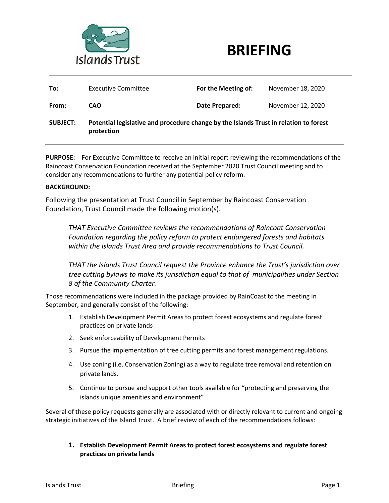



| To:             | <b>Executive Committee</b>                                                                          | For the Meeting of: | November 18, 2020 |
|-----------------|-----------------------------------------------------------------------------------------------------|---------------------|-------------------|
| From:           | <b>CAO</b>                                                                                          | Date Prepared:      | November 12, 2020 |
| <b>SUBJECT:</b> | Potential legislative and procedure change by the Islands Trust in relation to forest<br>protection |                     |                   |

**PURPOSE:** For Executive Committee to receive an initial report reviewing the recommendations of the Raincoast Conservation Foundation received at the September 2020 Trust Council meeting and to consider any recommendations to further any potential policy reform.

### **BACKGROUND:**

Following the presentation at Trust Council in September by Raincoast Conservation Foundation, Trust Council made the following motion(s).

*THAT Executive Committee reviews the recommendations of Raincoat Conservation Foundation regarding the policy reform to protect endangered forests and habitats within the Islands Trust Area and provide recommendations to Trust Council.*

*THAT the Islands Trust Council request the Province enhance the Trust's jurisdiction over tree cutting bylaws to make its jurisdiction equal to that of municipalities under Section 8 of the Community Charter.*

Those recommendations were included in the package provided by RainCoast to the meeting in September, and generally consist of the following:

- 1. Establish Development Permit Areas to protect forest ecosystems and regulate forest practices on private lands
- 2. Seek enforceability of Development Permits
- 3. Pursue the implementation of tree cutting permits and forest management regulations.
- 4. Use zoning (i.e. Conservation Zoning) as a way to regulate tree removal and retention on private lands.
- 5. Continue to pursue and support other tools available for "protecting and preserving the islands unique amenities and environment"

Several of these policy requests generally are associated with or directly relevant to current and ongoing strategic initiatives of the Island Trust. A brief review of each of the recommendations follows:

**1. Establish Development Permit Areas to protect forest ecosystems and regulate forest practices on private lands**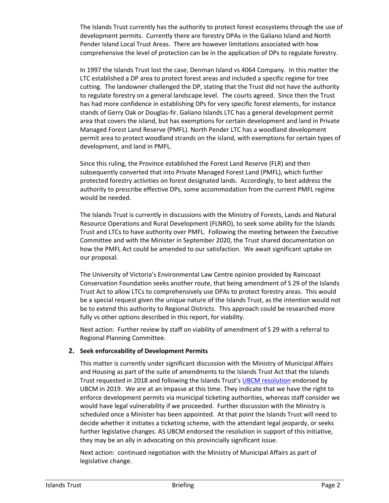The Islands Trust currently has the authority to protect forest ecosystems through the use of development permits. Currently there are forestry DPAs in the Galiano Island and North Pender Island Local Trust Areas. There are however limitations associated with how comprehensive the level of protection can be in the application of DPs to regulate forestry.

In 1997 the Islands Trust lost the case, Denman Island vs 4064 Company. In this matter the LTC established a DP area to protect forest areas and included a specific regime for tree cutting. The landowner challenged the DP, stating that the Trust did not have the authority to regulate forestry on a general landscape level. The courts agreed. Since then the Trust has had more confidence in establishing DPs for very specific forest elements, for instance stands of Gerry Oak or Douglas-fir. Galiano Islands LTC has a general development permit area that covers the island, but has exemptions for certain development and land in Private Managed Forest Land Reserve (PMFL). North Pender LTC has a woodland development permit area to protect woodland strands on the island, with exemptions for certain types of development, and land in PMFL.

Since this ruling, the Province established the Forest Land Reserve (FLR) and then subsequently converted that into Private Managed Forest Land (PMFL), which further protected forestry activities on forest designated lands. Accordingly, to best address the authority to prescribe effective DPs, some accommodation from the current PMFL regime would be needed.

The Islands Trust is currently in discussions with the Ministry of Forests, Lands and Natural Resource Operations and Rural Development (FLNRO), to seek some ability for the Islands Trust and LTCs to have authority over PMFL. Following the meeting between the Executive Committee and with the Minister in September 2020, the Trust shared documentation on how the PMFL Act could be amended to our satisfaction. We await significant uptake on our proposal.

The University of Victoria's Environmental Law Centre opinion provided by Raincoast Conservation Foundation seeks another route, that being amendment of S 29 of the Islands Trust Act to allow LTCs to comprehensively use DPAs to protect forestry areas. This would be a special request given the unique nature of the Islands Trust, as the intention would not be to extend this authority to Regional Districts. This approach could be researched more fully vs other options described in this report, for viability.

Next action: Further review by staff on viability of amendment of S 29 with a referral to Regional Planning Committee.

# **2. Seek enforceability of Development Permits**

This matter is currently under significant discussion with the Ministry of Municipal Affairs and Housing as part of the suite of amendments to the Islands Trust Act that the Islands Trust requested in 2018 and following the Islands Trust's [UBCM resolution](https://www.ubcm.ca/resolutions/ResolutionDetail.aspx?id=5599&index=0&year=&no=&resTitle=&spons=islands%20trust&res=&prov=&fed=&other=&conv=&exec=&comm=&sortCol=year&sortDir=asc) endorsed by UBCM in 2019. We are at an impasse at this time. They indicate that we have the right to enforce development permits via municipal ticketing authorities, whereas staff consider we would have legal vulnerability if we proceeded. Further discussion with the Ministry is scheduled once a Minister has been appointed. At that point the Islands Trust will need to decide whether it initiates a ticketing scheme, with the attendant legal jeopardy, or seeks further legislative changes. AS UBCM endorsed the resolution in support of this initiative, they may be an ally in advocating on this provincially significant issue.

Next action: continued negotiation with the Ministry of Municipal Affairs as part of legislative change.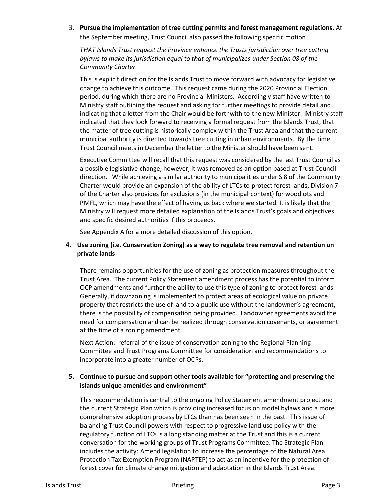3. **Pursue the implementation of tree cutting permits and forest management regulations.** At the September meeting, Trust Council also passed the following specific motion:

*THAT Islands Trust request the Province enhance the Trusts jurisdiction over tree cutting bylaws to make its jurisdiction equal to that of municipalizes under Section 08 of the Community Charter.*

This is explicit direction for the Islands Trust to move forward with advocacy for legislative change to achieve this outcome. This request came during the 2020 Provincial Election period, during which there are no Provincial Ministers. Accordingly staff have written to Ministry staff outlining the request and asking for further meetings to provide detail and indicating that a letter from the Chair would be forthwith to the new Minister. Ministry staff indicated that they look forward to receiving a formal request from the Islands Trust, that the matter of tree cutting is historically complex within the Trust Area and that the current municipal authority is directed towards tree cutting in urban environments. By the time Trust Council meets in December the letter to the Minister should have been sent.

Executive Committee will recall that this request was considered by the last Trust Council as a possible legislative change, however, it was removed as an option based at Trust Council direction. While achieving a similar authority to municipalities under S 8 of the Community Charter would provide an expansion of the ability of LTCs to protect forest lands, Division 7 of the Charter also provides for exclusions (in the municipal context) for woodlots and PMFL, which may have the effect of having us back where we started. It is likely that the Ministry will request more detailed explanation of the Islands Trust's goals and objectives and specific desired authorities if this proceeds.

See Appendix A for a more detailed discussion of this option.

# 4. **Use zoning (i.e. Conservation Zoning) as a way to regulate tree removal and retention on private lands**

There remains opportunities for the use of zoning as protection measures throughout the Trust Area. The current Policy Statement amendment process has the potential to inform OCP amendments and further the ability to use this type of zoning to protect forest lands. Generally, if downzoning is implemented to protect areas of ecological value on private property that restricts the use of land to a public use without the landowner's agreement, there is the possibility of compensation being provided. Landowner agreements avoid the need for compensation and can be realized through conservation covenants, or agreement at the time of a zoning amendment.

Next Action: referral of the issue of conservation zoning to the Regional Planning Committee and Trust Programs Committee for consideration and recommendations to incorporate into a greater number of OCPs.

# **5. Continue to pursue and support other tools available for "protecting and preserving the islands unique amenities and environment"**

This recommendation is central to the ongoing Policy Statement amendment project and the current Strategic Plan which is providing increased focus on model bylaws and a more comprehensive adoption process by LTCs than has been seen in the past. This issue of balancing Trust Council powers with respect to progressive land use policy with the regulatory function of LTCs is a long standing matter at the Trust and this is a current conversation for the working groups of Trust Programs Committee. The Strategic Plan includes the activity: Amend legislation to increase the percentage of the Natural Area Protection Tax Exemption Program (NAPTEP) to act as an incentive for the protection of forest cover for climate change mitigation and adaptation in the Islands Trust Area.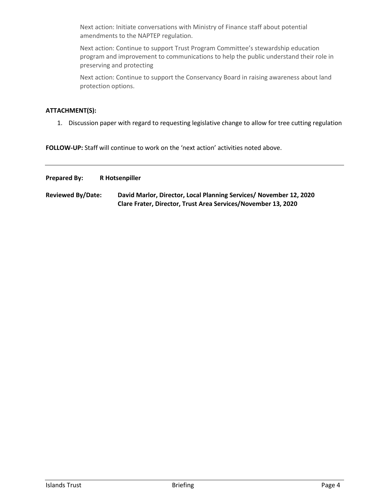Next action: Initiate conversations with Ministry of Finance staff about potential amendments to the NAPTEP regulation.

Next action: Continue to support Trust Program Committee's stewardship education program and improvement to communications to help the public understand their role in preserving and protecting

Next action: Continue to support the Conservancy Board in raising awareness about land protection options.

### **ATTACHMENT(S):**

1. Discussion paper with regard to requesting legislative change to allow for tree cutting regulation

**FOLLOW-UP:** Staff will continue to work on the 'next action' activities noted above.

**Prepared By: R Hotsenpiller**

**Reviewed By/Date: David Marlor, Director, Local Planning Services/ November 12, 2020 Clare Frater, Director, Trust Area Services/November 13, 2020**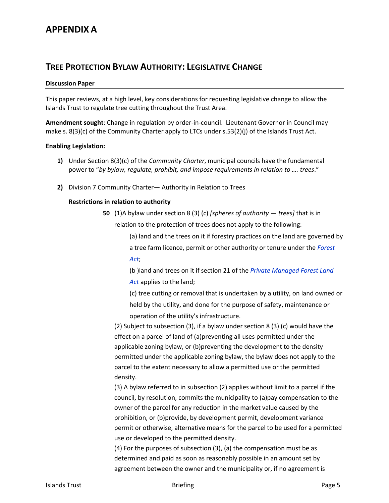# **TREE PROTECTION BYLAW AUTHORITY: LEGISLATIVE CHANGE**

#### **Discussion Paper**

This paper reviews, at a high level, key considerations for requesting legislative change to allow the Islands Trust to regulate tree cutting throughout the Trust Area.

**Amendment sought**: Change in regulation by order-in-council. Lieutenant Governor in Council may make s. 8(3)(c) of the Community Charter apply to LTCs under s.53(2)(j) of the Islands Trust Act.

### **Enabling Legislation:**

- **1)** Under Section 8(3)(c) of the *Community Charter*, municipal councils have the fundamental power to "*by bylaw, regulate, prohibit, and impose requirements in relation to …. trees*."
- **2)** Division 7 Community Charter— Authority in Relation to Trees

### **Restrictions in relation to authority**

**50** (1)A bylaw under section 8 (3) (c) *[spheres of authority — trees]* that is in relation to the protection of trees does not apply to the following:

> (a) land and the trees on it if forestry practices on the land are governed by a tree farm licence, permit or other authority or tenure under the *[Forest](https://www.bclaws.ca/civix/document/id/complete/statreg/96157_00)  [Act](https://www.bclaws.ca/civix/document/id/complete/statreg/96157_00)*;

(b )land and trees on it if section 21 of the *[Private Managed Forest Land](https://www.bclaws.ca/civix/document/id/complete/statreg/03080_01)  [Act](https://www.bclaws.ca/civix/document/id/complete/statreg/03080_01)* applies to the land;

(c) tree cutting or removal that is undertaken by a utility, on land owned or held by the utility, and done for the purpose of safety, maintenance or operation of the utility's infrastructure.

(2) Subject to subsection (3), if a bylaw under section 8 (3) (c) would have the effect on a parcel of land of (a)preventing all uses permitted under the applicable zoning bylaw, or (b)preventing the development to the density permitted under the applicable zoning bylaw, the bylaw does not apply to the parcel to the extent necessary to allow a permitted use or the permitted density.

(3) A bylaw referred to in subsection (2) applies without limit to a parcel if the council, by resolution, commits the municipality to (a)pay compensation to the owner of the parcel for any reduction in the market value caused by the prohibition, or (b)provide, by development permit, development variance permit or otherwise, alternative means for the parcel to be used for a permitted use or developed to the permitted density.

(4) For the purposes of subsection (3), (a) the compensation must be as determined and paid as soon as reasonably possible in an amount set by agreement between the owner and the municipality or, if no agreement is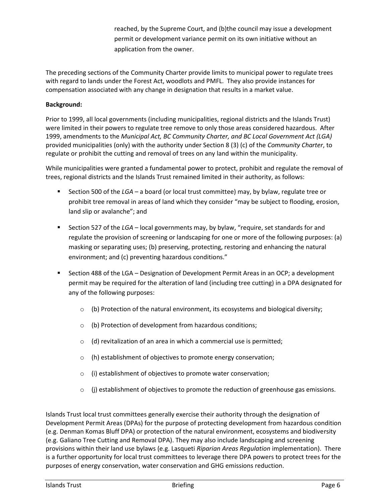reached, by the Supreme Court, and (b)the council may issue a development permit or development variance permit on its own initiative without an application from the owner.

The preceding sections of the Community Charter provide limits to municipal power to regulate trees with regard to lands under the Forest Act, woodlots and PMFL. They also provide instances for compensation associated with any change in designation that results in a market value.

### **Background:**

Prior to 1999, all local governments (including municipalities, regional districts and the Islands Trust) were limited in their powers to regulate tree remove to only those areas considered hazardous. After 1999, amendments to the *Municipal Act, BC Community Charter, and BC Local Government Act (LGA)* provided municipalities (only) with the authority under Section 8 (3) (c) of the *Community Charter*, to regulate or prohibit the cutting and removal of trees on any land within the municipality.

While municipalities were granted a fundamental power to protect, prohibit and regulate the removal of trees, regional districts and the Islands Trust remained limited in their authority, as follows:

- Section 500 of the *LGA* a board (or local trust committee) may, by bylaw, regulate tree or prohibit tree removal in areas of land which they consider "may be subject to flooding, erosion, land slip or avalanche"; and
- Section 527 of the *LGA* local governments may, by bylaw, "require, set standards for and regulate the provision of screening or landscaping for one or more of the following purposes: (a) masking or separating uses; (b) preserving, protecting, restoring and enhancing the natural environment; and (c) preventing hazardous conditions."
- Section 488 of the LGA Designation of Development Permit Areas in an OCP; a development permit may be required for the alteration of land (including tree cutting) in a DPA designated for any of the following purposes:
	- $\circ$  (b) Protection of the natural environment, its ecosystems and biological diversity;
	- o (b) Protection of development from hazardous conditions;
	- $\circ$  (d) revitalization of an area in which a commercial use is permitted;
	- o (h) establishment of objectives to promote energy conservation;
	- o (i) establishment of objectives to promote water conservation;
	- $\circ$  (j) establishment of objectives to promote the reduction of greenhouse gas emissions.

Islands Trust local trust committees generally exercise their authority through the designation of Development Permit Areas (DPAs) for the purpose of protecting development from hazardous condition (e.g. Denman Komas Bluff DPA) or protection of the natural environment, ecosystems and biodiversity (e.g. Galiano Tree Cutting and Removal DPA). They may also include landscaping and screening provisions within their land use bylaws (e.g. Lasqueti *Riparian Areas Regulation* implementation). There is a further opportunity for local trust committees to leverage there DPA powers to protect trees for the purposes of energy conservation, water conservation and GHG emissions reduction.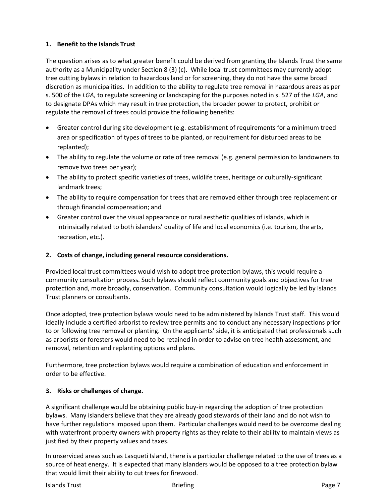# **1. Benefit to the Islands Trust**

The question arises as to what greater benefit could be derived from granting the Islands Trust the same authority as a Municipality under Section 8 (3) (c). While local trust committees may currently adopt tree cutting bylaws in relation to hazardous land or for screening, they do not have the same broad discretion as municipalities. In addition to the ability to regulate tree removal in hazardous areas as per s. 500 of the *LGA,* to regulate screening or landscaping for the purposes noted in s. 527 of the *LGA*, and to designate DPAs which may result in tree protection, the broader power to protect, prohibit or regulate the removal of trees could provide the following benefits:

- Greater control during site development (e.g. establishment of requirements for a minimum treed area or specification of types of trees to be planted, or requirement for disturbed areas to be replanted);
- The ability to regulate the volume or rate of tree removal (e.g. general permission to landowners to remove two trees per year);
- The ability to protect specific varieties of trees, wildlife trees, heritage or culturally-significant landmark trees;
- The ability to require compensation for trees that are removed either through tree replacement or through financial compensation; and
- Greater control over the visual appearance or rural aesthetic qualities of islands, which is intrinsically related to both islanders' quality of life and local economics (i.e. tourism, the arts, recreation, etc.).

# **2. Costs of change, including general resource considerations.**

Provided local trust committees would wish to adopt tree protection bylaws, this would require a community consultation process. Such bylaws should reflect community goals and objectives for tree protection and, more broadly, conservation. Community consultation would logically be led by Islands Trust planners or consultants.

Once adopted, tree protection bylaws would need to be administered by Islands Trust staff. This would ideally include a certified arborist to review tree permits and to conduct any necessary inspections prior to or following tree removal or planting. On the applicants' side, it is anticipated that professionals such as arborists or foresters would need to be retained in order to advise on tree health assessment, and removal, retention and replanting options and plans.

Furthermore, tree protection bylaws would require a combination of education and enforcement in order to be effective.

# **3. Risks or challenges of change.**

A significant challenge would be obtaining public buy-in regarding the adoption of tree protection bylaws. Many islanders believe that they are already good stewards of their land and do not wish to have further regulations imposed upon them. Particular challenges would need to be overcome dealing with waterfront property owners with property rights as they relate to their ability to maintain views as justified by their property values and taxes.

In unserviced areas such as Lasqueti Island, there is a particular challenge related to the use of trees as a source of heat energy. It is expected that many islanders would be opposed to a tree protection bylaw that would limit their ability to cut trees for firewood.